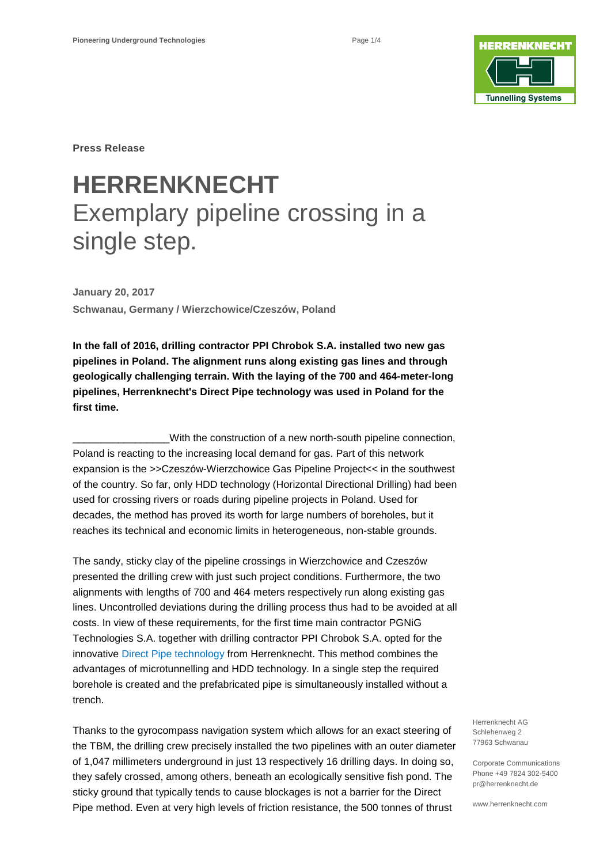

**Press Release**

# **HERRENKNECHT** Exemplary pipeline crossing in a single step.

**January 20, 2017 Schwanau, Germany / Wierzchowice/Czeszów, Poland**

**In the fall of 2016, drilling contractor PPI Chrobok S.A. installed two new gas pipelines in Poland. The alignment runs along existing gas lines and through geologically challenging terrain. With the laying of the 700 and 464-meter-long pipelines, Herrenknecht's Direct Pipe technology was used in Poland for the first time.** 

With the construction of a new north-south pipeline connection, Poland is reacting to the increasing local demand for gas. Part of this network expansion is the >>Czeszów-Wierzchowice Gas Pipeline Project<< in the southwest of the country. So far, only HDD technology (Horizontal Directional Drilling) had been used for crossing rivers or roads during pipeline projects in Poland. Used for decades, the method has proved its worth for large numbers of boreholes, but it reaches its technical and economic limits in heterogeneous, non-stable grounds.

The sandy, sticky clay of the pipeline crossings in Wierzchowice and Czeszów presented the drilling crew with just such project conditions. Furthermore, the two alignments with lengths of 700 and 464 meters respectively run along existing gas lines. Uncontrolled deviations during the drilling process thus had to be avoided at all costs. In view of these requirements, for the first time main contractor PGNiG Technologies S.A. together with drilling contractor PPI Chrobok S.A. opted for the innovative [Direct Pipe technology](https://www.herrenknecht.com/en/products/core-products/tunnelling/direct-pipe.html) from Herrenknecht. This method combines the advantages of microtunnelling and HDD technology. In a single step the required borehole is created and the prefabricated pipe is simultaneously installed without a trench.

Thanks to the gyrocompass navigation system which allows for an exact steering of the TBM, the drilling crew precisely installed the two pipelines with an outer diameter of 1,047 millimeters underground in just 13 respectively 16 drilling days. In doing so, they safely crossed, among others, beneath an ecologically sensitive fish pond. The sticky ground that typically tends to cause blockages is not a barrier for the Direct Pipe method. Even at very high levels of friction resistance, the 500 tonnes of thrust

Herrenknecht AG Schlehenweg 2 77963 Schwanau

Corporate Communications Phone +49 7824 302-5400 pr@herrenknecht.de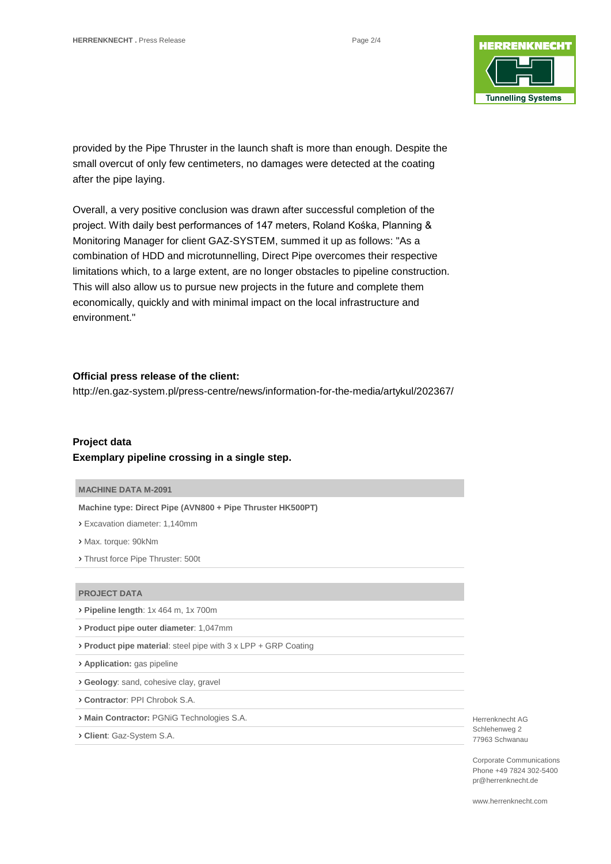

provided by the Pipe Thruster in the launch shaft is more than enough. Despite the small overcut of only few centimeters, no damages were detected at the coating after the pipe laying.

Overall, a very positive conclusion was drawn after successful completion of the project. With daily best performances of 147 meters, Roland Kośka, Planning & Monitoring Manager for client GAZ-SYSTEM, summed it up as follows: "As a combination of HDD and microtunnelling, Direct Pipe overcomes their respective limitations which, to a large extent, are no longer obstacles to pipeline construction. This will also allow us to pursue new projects in the future and complete them economically, quickly and with minimal impact on the local infrastructure and environment."

### **Official press release of the client:**

<http://en.gaz-system.pl/press-centre/news/information-for-the-media/artykul/202367/>

# **Project data Exemplary pipeline crossing in a single step.**

#### **MACHINE DATA M-2091**

**Machine type: Direct Pipe (AVN800 + Pipe Thruster HK500PT)**

› Excavation diameter: 1,140mm

› Max. torque: 90kNm

› Thrust force Pipe Thruster: 500t

#### **PROJECT DATA**

› **Pipeline length**: 1x 464 m, 1x 700m

› **Product pipe outer diameter**: 1,047mm

› **Product pipe material**: steel pipe with 3 x LPP + GRP Coating

› **Application:** gas pipeline

› **Geology**: sand, cohesive clay, gravel

› **Contractor**: PPI Chrobok S.A.

› **Main Contractor:** PGNiG Technologies S.A.

› **Client**: Gaz-System S.A.

Herrenknecht AG Schlehenweg 2 77963 Schwanau

Corporate Communications Phone +49 7824 302-5400 pr@herrenknecht.de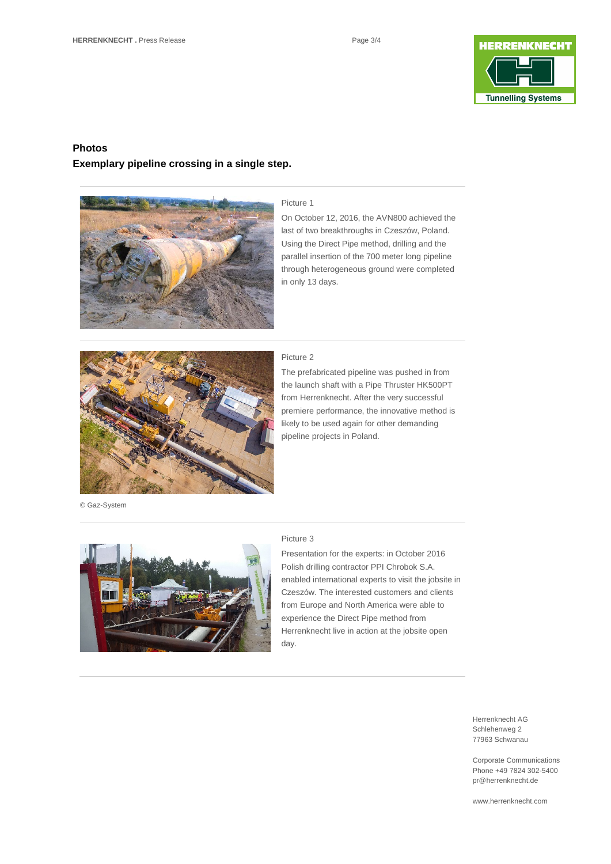

## **Photos**

### **Exemplary pipeline crossing in a single step.**



#### Picture 1

On October 12, 2016, the AVN800 achieved the last of two breakthroughs in Czeszów, Poland. Using the Direct Pipe method, drilling and the parallel insertion of the 700 meter long pipeline through heterogeneous ground were completed in only 13 days.



© Gaz-System

# Picture 2

The prefabricated pipeline was pushed in from the launch shaft with a Pipe Thruster HK500PT from Herrenknecht. After the very successful premiere performance, the innovative method is likely to be used again for other demanding pipeline projects in Poland.



#### Picture 3

Presentation for the experts: in October 2016 Polish drilling contractor PPI Chrobok S.A. enabled international experts to visit the jobsite in Czeszów. The interested customers and clients from Europe and North America were able to experience the Direct Pipe method from Herrenknecht live in action at the jobsite open day.

> Herrenknecht AG Schlehenweg 2 77963 Schwanau

Corporate Communications Phone +49 7824 302-5400 pr@herrenknecht.de